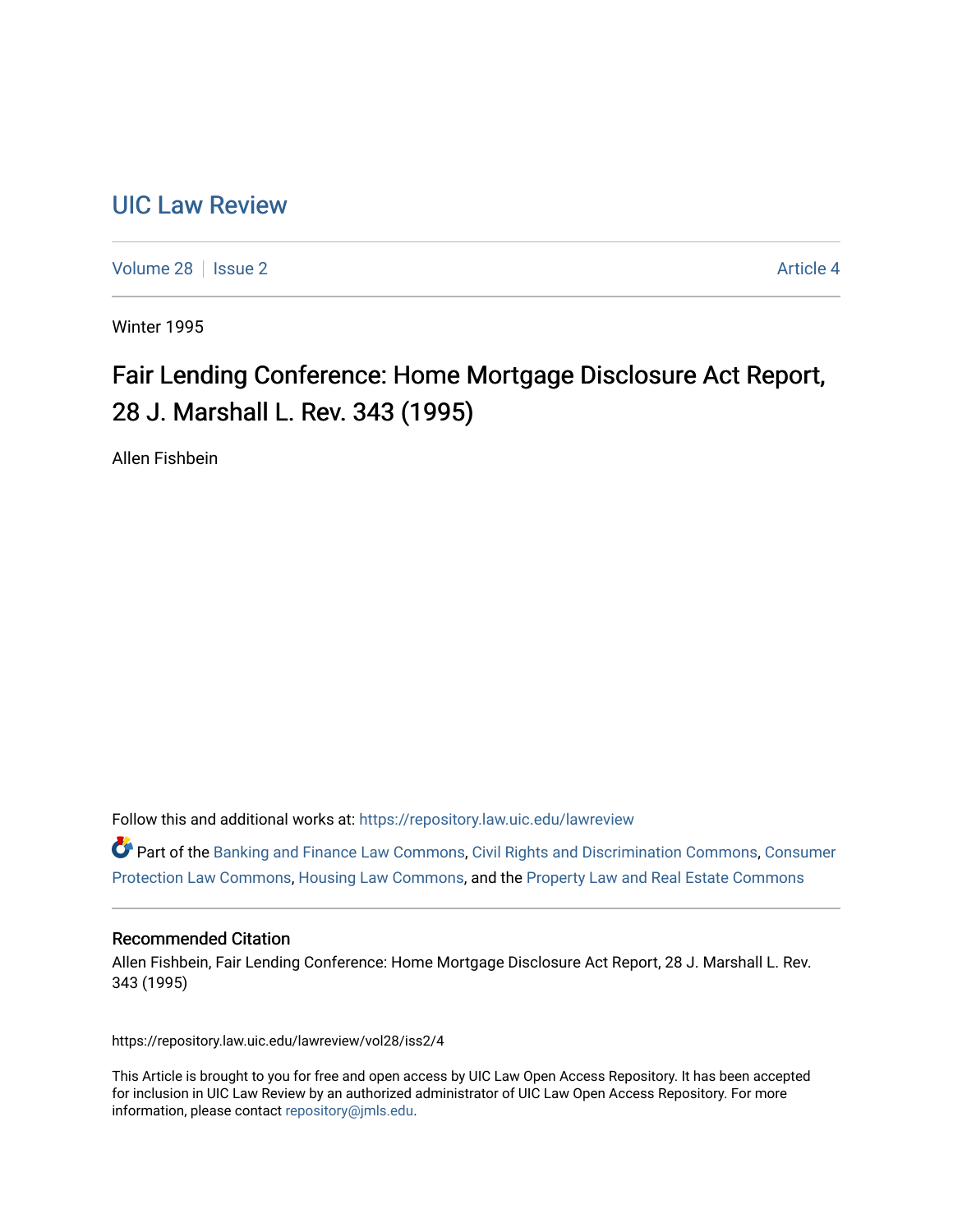# [UIC Law Review](https://repository.law.uic.edu/lawreview)

[Volume 28](https://repository.law.uic.edu/lawreview/vol28) | [Issue 2](https://repository.law.uic.edu/lawreview/vol28/iss2) Article 4

Winter 1995

# Fair Lending Conference: Home Mortgage Disclosure Act Report, 28 J. Marshall L. Rev. 343 (1995)

Allen Fishbein

Follow this and additional works at: [https://repository.law.uic.edu/lawreview](https://repository.law.uic.edu/lawreview?utm_source=repository.law.uic.edu%2Flawreview%2Fvol28%2Fiss2%2F4&utm_medium=PDF&utm_campaign=PDFCoverPages) 

Part of the [Banking and Finance Law Commons,](http://network.bepress.com/hgg/discipline/833?utm_source=repository.law.uic.edu%2Flawreview%2Fvol28%2Fiss2%2F4&utm_medium=PDF&utm_campaign=PDFCoverPages) [Civil Rights and Discrimination Commons](http://network.bepress.com/hgg/discipline/585?utm_source=repository.law.uic.edu%2Flawreview%2Fvol28%2Fiss2%2F4&utm_medium=PDF&utm_campaign=PDFCoverPages), [Consumer](http://network.bepress.com/hgg/discipline/838?utm_source=repository.law.uic.edu%2Flawreview%2Fvol28%2Fiss2%2F4&utm_medium=PDF&utm_campaign=PDFCoverPages) [Protection Law Commons](http://network.bepress.com/hgg/discipline/838?utm_source=repository.law.uic.edu%2Flawreview%2Fvol28%2Fiss2%2F4&utm_medium=PDF&utm_campaign=PDFCoverPages), [Housing Law Commons](http://network.bepress.com/hgg/discipline/846?utm_source=repository.law.uic.edu%2Flawreview%2Fvol28%2Fiss2%2F4&utm_medium=PDF&utm_campaign=PDFCoverPages), and the [Property Law and Real Estate Commons](http://network.bepress.com/hgg/discipline/897?utm_source=repository.law.uic.edu%2Flawreview%2Fvol28%2Fiss2%2F4&utm_medium=PDF&utm_campaign=PDFCoverPages) 

# Recommended Citation

Allen Fishbein, Fair Lending Conference: Home Mortgage Disclosure Act Report, 28 J. Marshall L. Rev. 343 (1995)

https://repository.law.uic.edu/lawreview/vol28/iss2/4

This Article is brought to you for free and open access by UIC Law Open Access Repository. It has been accepted for inclusion in UIC Law Review by an authorized administrator of UIC Law Open Access Repository. For more information, please contact [repository@jmls.edu.](mailto:repository@jmls.edu)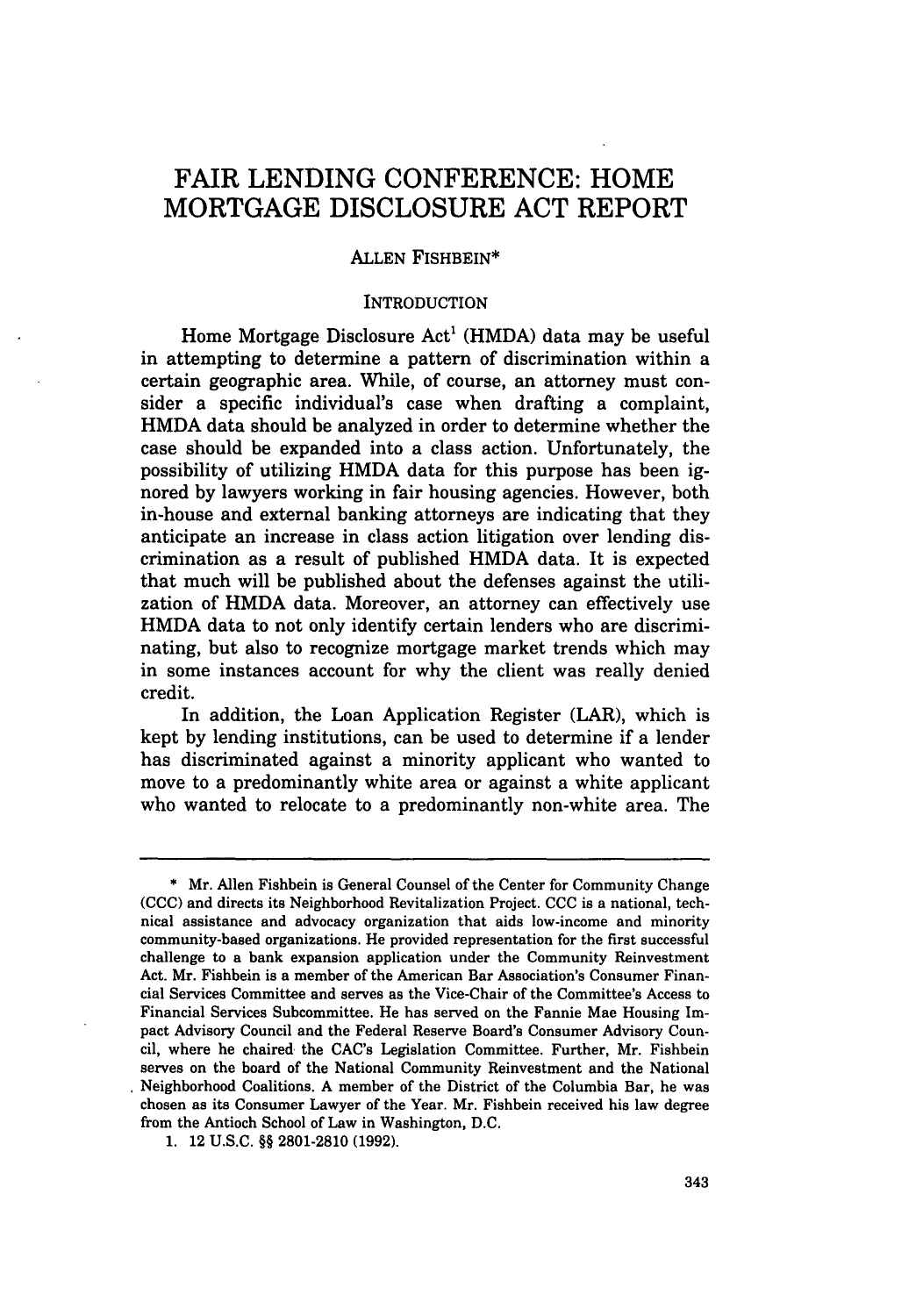# FAIR LENDING **CONFERENCE:** HOME MORTGAGE DISCLOSURE **ACT** REPORT

# ALLEN FISHBEIN\*

#### INTRODUCTION

Home Mortgage Disclosure Act' (HMDA) data may be useful in attempting to determine a pattern of discrimination within a certain geographic area. While, of course, an attorney must consider a specific individual's case when drafting a complaint, HMDA data should be analyzed in order to determine whether the case should be expanded into a class action. Unfortunately, the possibility of utilizing HMDA data for this purpose has been ignored by lawyers working in fair housing agencies. However, both in-house and external banking attorneys are indicating that they anticipate an increase in class action litigation over lending discrimination as a result of published HMDA data. It is expected that much will be published about the defenses against the utilization of HMDA data. Moreover, an attorney can effectively use HMDA data to not only identify certain lenders who are discriminating, but also to recognize mortgage market trends which may in some instances account for why the client was really denied credit.

In addition, the Loan Application Register (LAR), which is kept by lending institutions, can be used to determine if a lender has discriminated against a minority applicant who wanted to move to a predominantly white area or against a white applicant who wanted to relocate to a predominantly non-white area. The

**<sup>\*</sup>** Mr. Allen Fishbein is General Counsel of the Center for Community Change (CCC) and directs its Neighborhood Revitalization Project. CCC is a national, technical assistance and advocacy organization that aids low-income and minority community-based organizations. He provided representation for the first successful challenge to a bank expansion application under the Community Reinvestment Act. Mr. Fishbein is a member of the American Bar Association's Consumer Financial Services Committee and serves as the Vice-Chair of the Committee's Access to Financial Services Subcommittee. He has served on the Fannie Mae Housing Impact Advisory Council and the Federal Reserve Board's Consumer Advisory Council, where he chaired, the CAC's Legislation Committee. Further, Mr. Fishbein serves on the board of the National Community Reinvestment and the National Neighborhood Coalitions. A member of the District of the Columbia Bar, he was chosen as its Consumer Lawyer of the Year. Mr. Fishbein received his law degree from the Antioch School of Law in Washington, D.C.

<sup>1. 12</sup> U.S.C. §§ 2801-2810 (1992).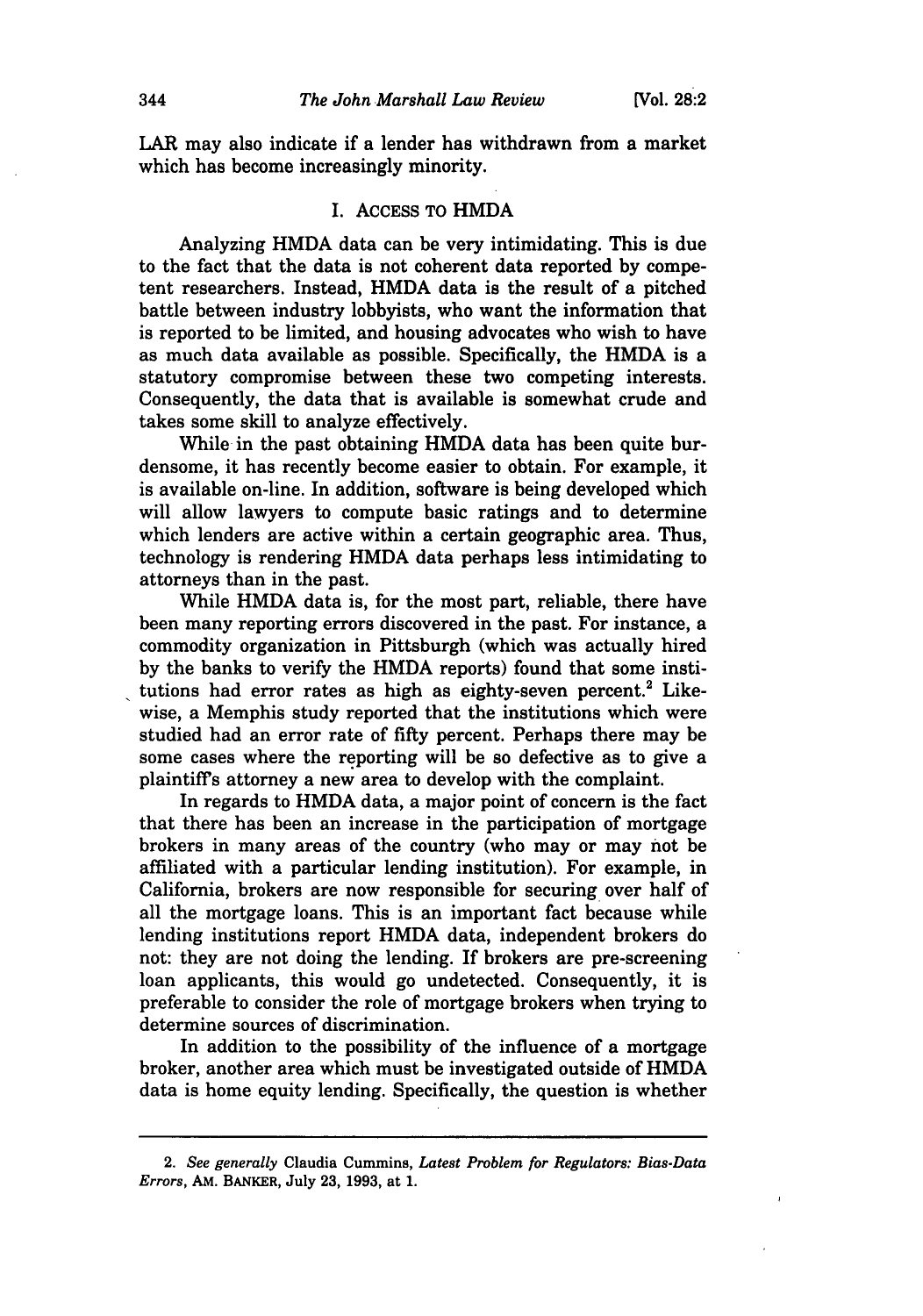LAR may also indicate if a lender has withdrawn from a market which has become increasingly minority.

#### I. ACCESS TO HMDA

Analyzing HMDA data can be very intimidating. This is due to the fact that the data is not coherent data reported by competent researchers. Instead, HMDA data is the result of a pitched battle between industry lobbyists, who want the information that is reported to be limited, and housing advocates who wish to have as much data available as possible. Specifically, the HMDA is a statutory compromise between these two competing interests. Consequently, the data that is available is somewhat crude and takes some skill to analyze effectively.

While in the past obtaining HMDA data has been quite burdensome, it has recently become easier to obtain. For example, it is available on-line. In addition, software is being developed which will allow lawyers to compute basic ratings and to determine which lenders are active within a certain geographic area. Thus, technology is rendering HMDA data perhaps less intimidating to attorneys than in the past.

While HMDA data is, for the most part, reliable, there have been many reporting errors discovered in the past. For instance, a commodity organization in Pittsburgh (which was actually hired by the banks to verify the HMDA reports) found that some institutions had error rates as high as eighty-seven percent.<sup>2</sup> Likewise, a Memphis study reported that the institutions which were studied had an error rate of **fifty** percent. Perhaps there may be some cases where the reporting will be so defective as to give a plaintiffs attorney a new area to develop with the complaint.

In regards to HMDA data, a major point of concern is the fact that there has been an increase in the participation of mortgage brokers in many areas of the country (who may or may not be affiliated with a particular lending institution). For example, in California, brokers are now responsible for securing over half of all the mortgage loans. This is an important fact because while lending institutions report HMDA data, independent brokers do not: they are not doing the lending. If brokers are pre-screening loan applicants, this would go undetected. Consequently, it is preferable to consider the role of mortgage brokers when trying to determine sources of discrimination.

In addition to the possibility of the influence of a mortgage broker, another area which must be investigated outside of HMDA data is home equity lending. Specifically, the question is whether

<sup>2.</sup> *See generally* Claudia Cummins, *Latest Problem for Regulators: Bias-Data Errors,* **AM.** BANKER, July **23, 1993,** at **1.**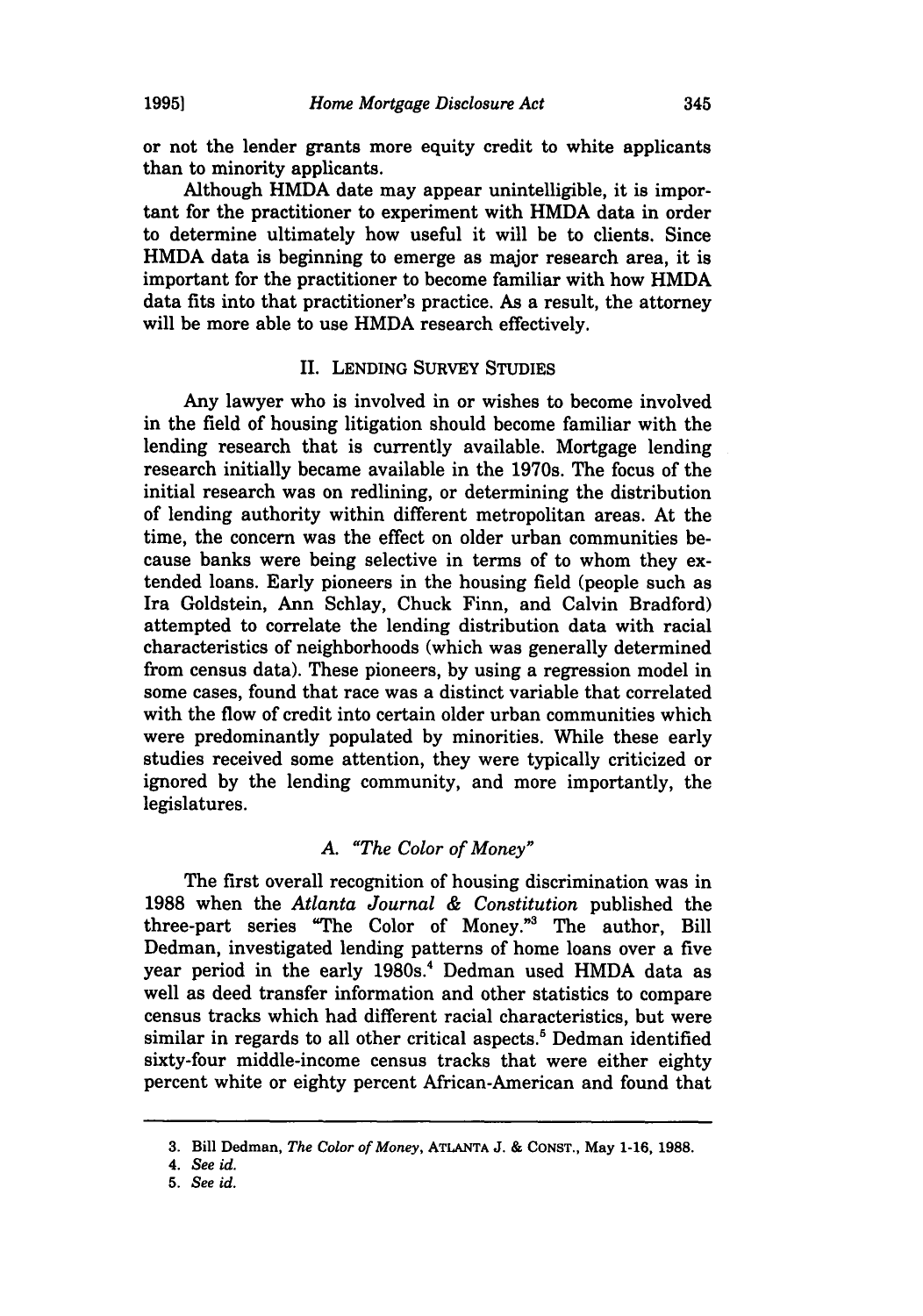or not the lender grants more equity credit to white applicants than to minority applicants.

Although HMDA date may appear unintelligible, it is important for the practitioner to experiment with HMDA data in order to determine ultimately how useful it will be to clients. Since HMDA data is beginning to emerge as major research area, it is important for the practitioner to become familiar with how HMDA data fits into that practitioner's practice. As a result, the attorney will be more able to use HMDA research effectively.

# II. **LENDING** SURVEY STUDIES

Any lawyer who is involved in or wishes to become involved in the field of housing litigation should become familiar with the lending research that is currently available. Mortgage lending research initially became available in the 1970s. The focus of the initial research was on redlining, or determining the distribution of lending authority within different metropolitan areas. At the time, the concern was the effect on older urban communities because banks were being selective in terms of to whom they extended loans. Early pioneers in the housing field (people such as Ira Goldstein, Ann Schlay, Chuck Finn, and Calvin Bradford) attempted to correlate the lending distribution data with racial characteristics of neighborhoods (which was generally determined from census data). These pioneers, **by** using a regression model in some cases, found that race was a distinct variable that correlated with the flow of credit into certain older urban communities which were predominantly populated **by** minorities. While these early studies received some attention, they were typically criticized or ignored by the lending community, and more importantly, the legislatures.

# *A. "The Color of Money"*

The first overall recognition of housing discrimination was in 1988 when the *Atlanta Journal & Constitution* published the three-part series "The Color of Money."3 The author, Bill Dedman, investigated lending patterns of home loans over a five year period in the early 1980s.<sup>4</sup> Dedman used HMDA data as well as deed transfer information and other statistics to compare census tracks which had different racial characteristics, but were similar in regards to all other critical aspects.<sup>5</sup> Dedman identified sixty-four middle-income census tracks that were either eighty percent white or eighty percent African-American and found that

**<sup>3.</sup>** Bill Dedman, *The Color of Money,* **ATLANTA J. & CONST.,** May **1-16, 1988.**

*<sup>4.</sup> See id.*

*<sup>5.</sup> See id.*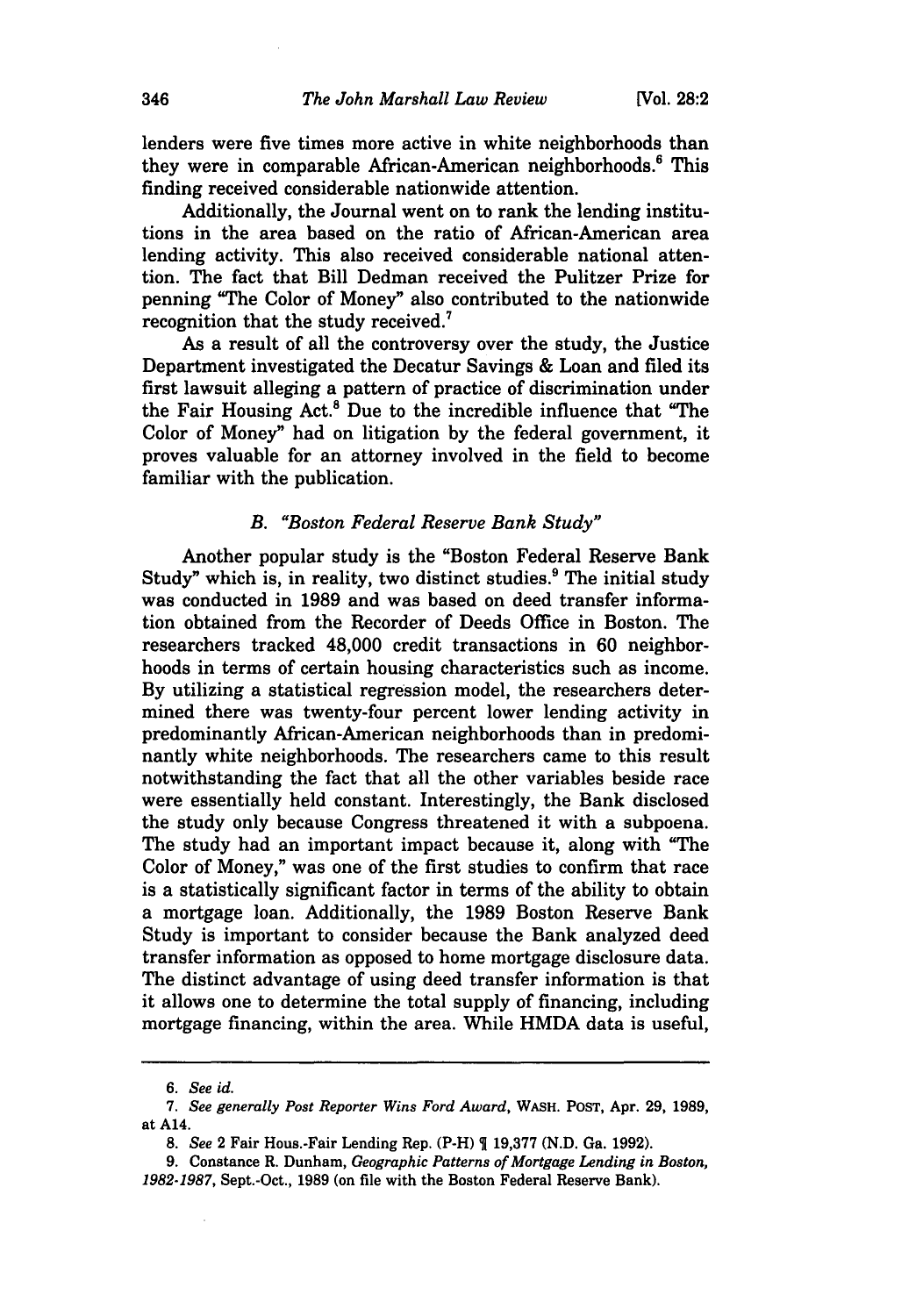lenders were five times more active in white neighborhoods than they were in comparable African-American neighborhoods.' This finding received considerable nationwide attention.

Additionally, the Journal went on to rank the lending institutions in the area based on the ratio of African-American area lending activity. This also received considerable national attention. The fact that Bill Dedman received the Pulitzer Prize for penning "The Color of Money" also contributed to the nationwide recognition that the study received.<sup>7</sup>

As a result of all the controversy over the study, the Justice Department investigated the Decatur Savings **&** Loan and filed its first lawsuit alleging a pattern of practice of discrimination under the Fair Housing Act.' Due to the incredible influence that "The Color of Money" had on litigation **by** the federal government, it proves valuable for an attorney involved in the field to become familiar with the publication.

#### *B. "Boston Federal Reserve Bank Study"*

Another popular study is the "Boston Federal Reserve Bank Study" which is, in reality, two distinct studies.<sup>9</sup> The initial study was conducted in **1989** and was based on deed transfer information obtained from the Recorder of Deeds Office in Boston. The researchers tracked 48,000 credit transactions in **60** neighborhoods in terms of certain housing characteristics such as income. **By** utilizing a statistical regression model, the researchers determined there was twenty-four percent lower lending activity in predominantly African-American neighborhoods than in predominantly white neighborhoods. The researchers came to this result notwithstanding the fact that all the other variables beside race were essentially held constant. Interestingly, the Bank disclosed the study only because Congress threatened it with a subpoena. The study had an important impact because it, along with "The Color of Money," was one of the first studies to confirm that race is a statistically significant factor in terms of the ability to obtain a mortgage loan. Additionally, the **1989** Boston Reserve Bank Study is important to consider because the Bank analyzed deed transfer information as opposed to home mortgage disclosure data. The distinct advantage of using deed transfer information is that it allows one to determine the total supply of financing, including mortgage financing, within the area. While HMDA data is useful,

*<sup>6.</sup> See id.*

*<sup>7.</sup> See generally Post Reporter Wins Ford Award,* **WASH. POST,** Apr. **29, 1989,** at **A14.**

*<sup>8.</sup> See* 2 Fair Hous.-Fair Lending Rep. (P-H) 1 **19,377 (N.D.** Ga. **1992).**

**<sup>9.</sup>** Constance R. Dunham, *Geographic Patterns of Mortgage Lending in Boston, 1982-1987,* Sept.-Oct., 1989 (on file with the Boston Federal Reserve Bank).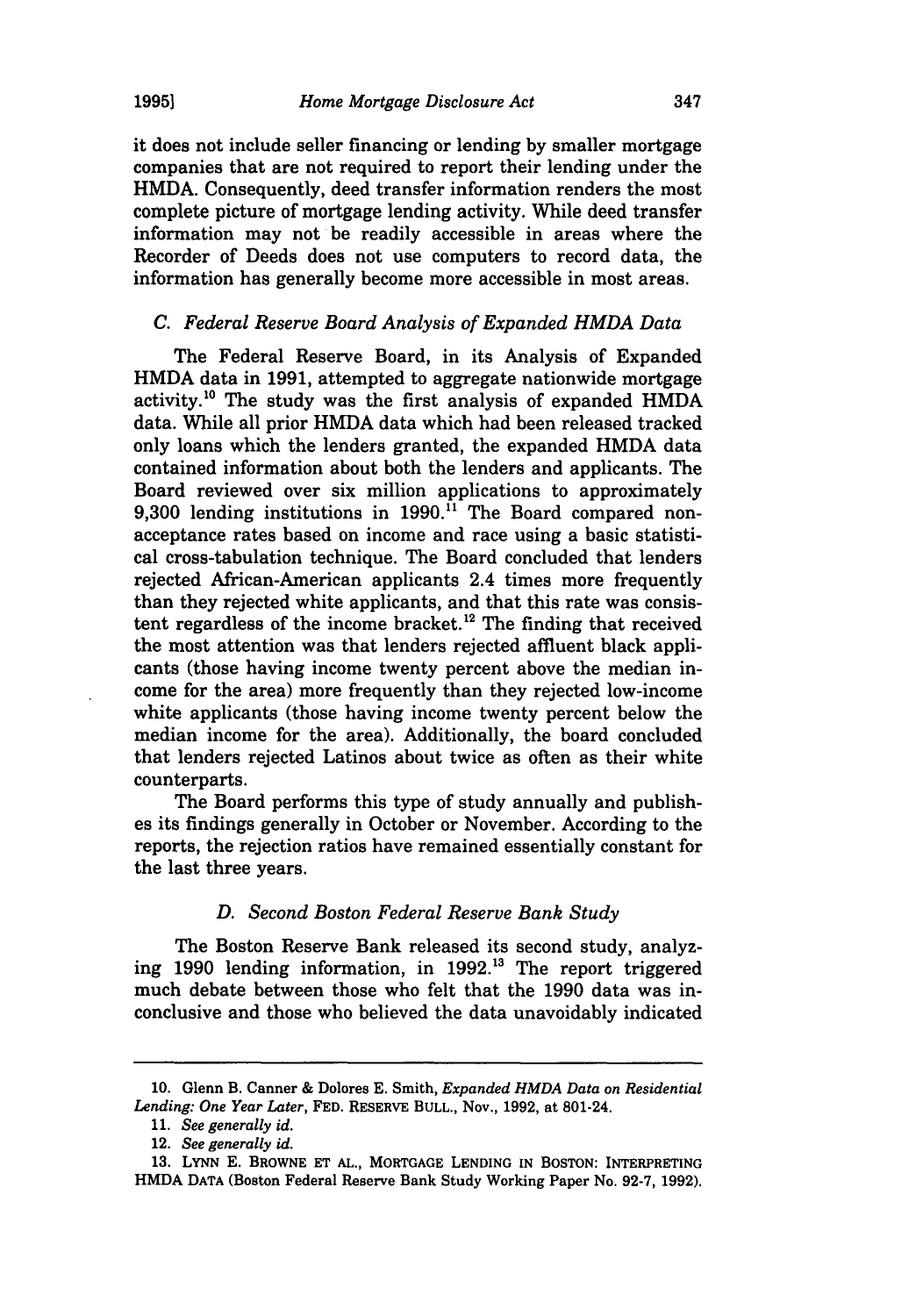it does not include seller financing or lending **by** smaller mortgage companies that are not required to report their lending under the HMDA. Consequently, deed transfer information renders the most complete picture of mortgage lending activity. While deed transfer information may not be readily accessible in areas where the Recorder of Deeds does not use computers to record data, the information has generally become more accessible in most areas.

#### *C. Federal Reserve Board Analysis of Expanded HMDA Data*

The Federal Reserve Board, in its Analysis of Expanded HMDA data in **1991,** attempted to aggregate nationwide mortgage activity.<sup>10</sup> The study was the first analysis of expanded HMDA data. While all prior HMDA data which had been released tracked only loans which the lenders granted, the expanded HMDA data contained information about both the lenders and applicants. The Board reviewed over six million applications to approximately **9,300** lending institutions in **1990."** The Board compared nonacceptance rates based on income and race using a basic statistical cross-tabulation technique. The Board concluded that lenders rejected African-American applicants 2.4 times more frequently than they rejected white applicants, and that this rate was consistent regardless of the income bracket.<sup>12</sup> The finding that received the most attention was that lenders rejected affluent black applicants (those having income twenty percent above the median income for the area) more frequently than they rejected low-income white applicants (those having income twenty percent below the median income for the area). Additionally, the board concluded that lenders rejected Latinos about twice as often as their white counterparts.

The Board performs this type of study annually and publishes its findings generally in October or November. According to the reports, the rejection ratios have remained essentially constant for the last three years.

#### *D. Second Boston Federal Reserve Bank Study*

The Boston Reserve Bank released its second study, analyzing **1990** lending information, in **1992.13** The report triggered much debate between those who felt that the **1990** data was inconclusive and those who believed the data unavoidably indicated

**<sup>10.</sup>** Glenn B. Canner **&** Dolores **E.** Smith, *Expanded HMDA Data on Residential Lending: One Year Later,* **FED.** RESERVE **BULL.,** Nov., **1992,** at 801-24.

**<sup>11.</sup>** *See generally id.*

<sup>12.</sup> *See generally id.*

**<sup>13.</sup> LYNN E.** BROWNE **ET AL.,** MORTGAGE LENDING **IN BOSTON:** INTERPRETING HMDA **DATA** (Boston Federal Reserve Bank Study Working Paper No. **92-7, 1992).**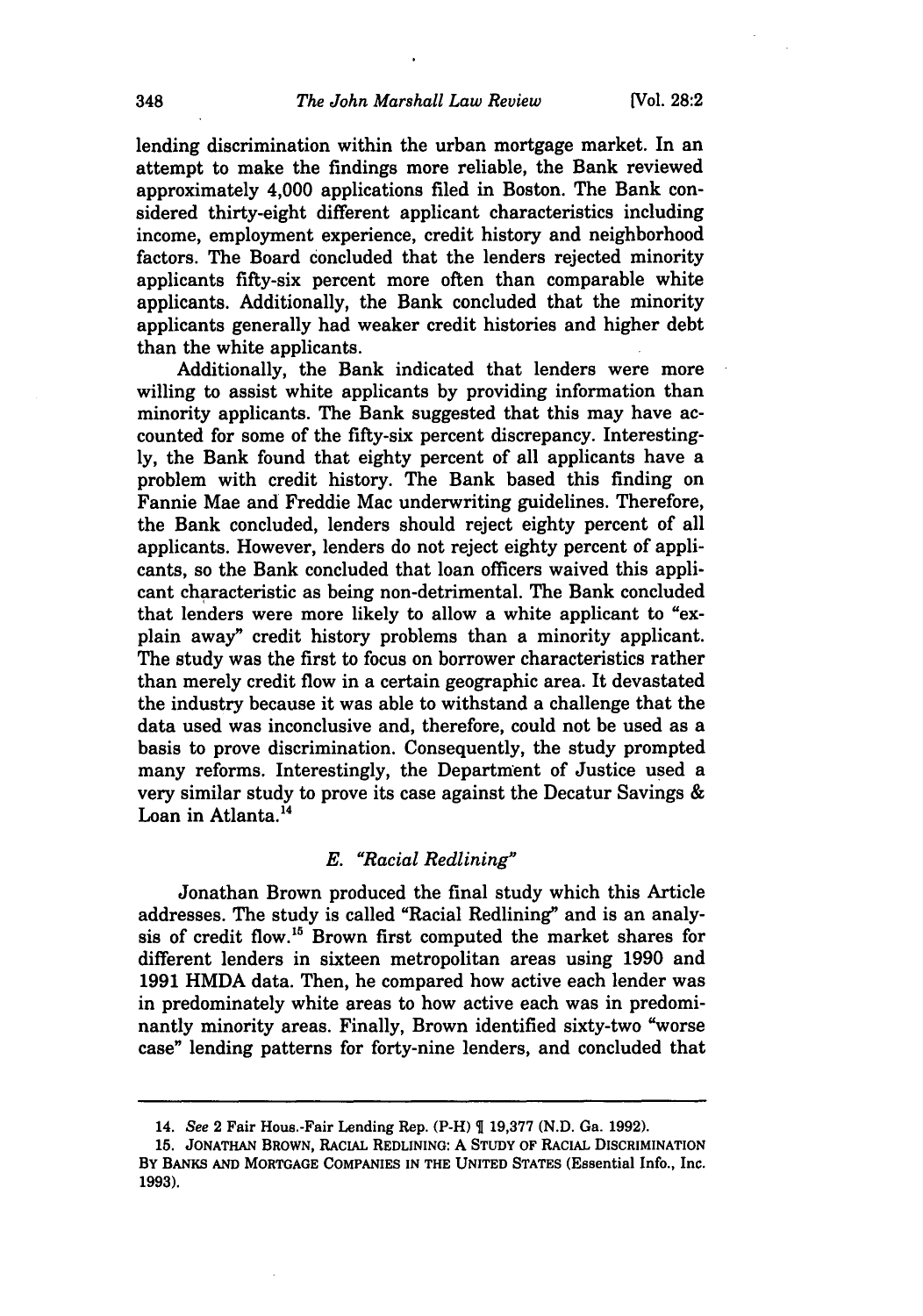lending discrimination within the urban mortgage market. In an attempt to make the findings more reliable, the Bank reviewed approximately 4,000 applications filed in Boston. The Bank considered thirty-eight different applicant characteristics including income, employment experience, credit history and neighborhood factors. The Board concluded that the lenders rejected minority applicants fifty-six percent more often than comparable white applicants. Additionally, the Bank concluded that the minority applicants generally had weaker credit histories and higher debt than the white applicants.

Additionally, the Bank indicated that lenders were more willing to assist white applicants by providing information than minority applicants. The Bank suggested that this may have accounted for some of the fifty-six percent discrepancy. Interestingly, the Bank found that eighty percent of all applicants have a problem with credit history. The Bank based this finding on Fannie Mae and Freddie Mac underwriting guidelines. Therefore, the Bank concluded, lenders should reject eighty percent of all applicants. However, lenders do not reject eighty percent of applicants, so the Bank concluded that loan officers waived this applicant characteristic as being non-detrimental. The Bank concluded that lenders were more likely to allow a white applicant to "explain away" credit history problems than a minority applicant. The study was the first to focus on borrower characteristics rather than merely credit flow in a certain geographic area. It devastated the industry because it was able to withstand a challenge that the data used was inconclusive and, therefore, could not be used as a basis to prove discrimination. Consequently, the study prompted many reforms. Interestingly, the Department of Justice used a very similar study to prove its case against the Decatur Savings & Loan in Atlanta.<sup>14</sup>

## *E. "Racial Redlining"*

Jonathan Brown produced the final study which this Article addresses. The study is called "Racial Redlining" and is an analysis of credit flow.15 Brown first computed the market shares for different lenders in sixteen metropolitan areas using 1990 and 1991 HMDA data. Then, he compared how active each lender was in predominately white areas to how active each was in predominantly minority areas. Finally, Brown identified sixty-two "worse case" lending patterns for forty-nine lenders, and concluded that

<sup>14.</sup> See 2 Fair Hous.-Fair Lending Rep. (P-H) **19,377 (N.D.** Ga. **1992).**

**<sup>15.</sup>** JONATHAN BROWN, RACIAL REDLINING: A STUDY OF RACIAL DISCRIMINATION By BANKS **AND** MORTGAGE COMPANIES IN THE UNITED STATES (Essential Info., Inc. **1993).**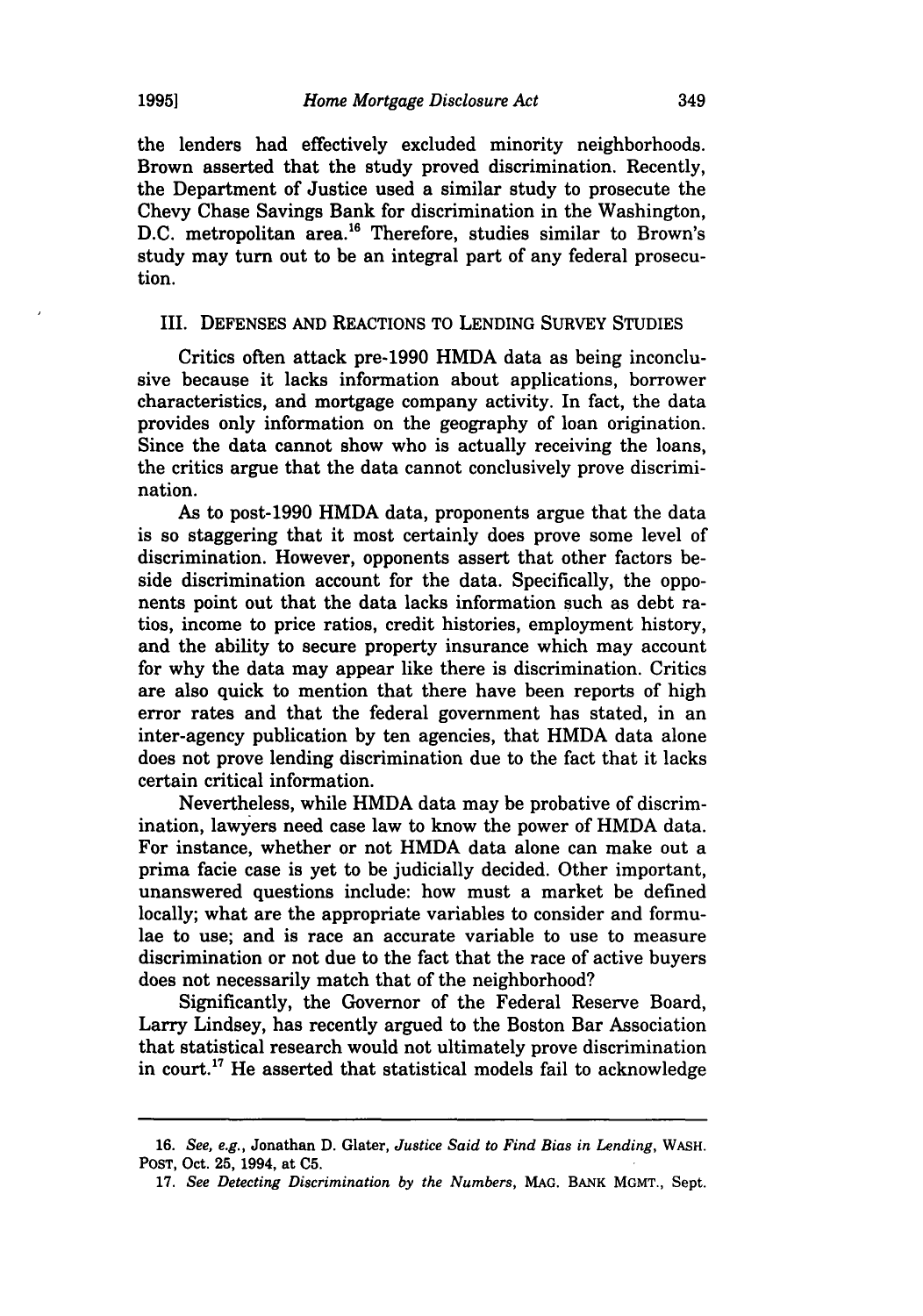the lenders had effectively excluded minority neighborhoods. Brown asserted that the study proved discrimination. Recently, the Department of Justice used a similar study to prosecute the Chevy Chase Savings Bank for discrimination in the Washington, **D.C.** metropolitan area."6 Therefore, studies similar to Brown's study may turn out to be an integral part of any federal prosecution.

### III. **DEFENSES AND REACTIONS** TO **LENDING** SURVEY **STUDIES**

Critics often attack pre-1990 HMDA data as being inconclusive because it lacks information about applications, borrower characteristics, and mortgage company activity. In fact, the data provides only information on the geography of loan origination. Since the data cannot show who is actually receiving the loans, the critics argue that the data cannot conclusively prove discrimination.

As to post-1990 HMDA data, proponents argue that the data is so staggering that it most certainly does prove some level of discrimination. However, opponents assert that other factors beside discrimination account for the data. Specifically, the opponents point out that the data lacks information such as debt ratios, income to price ratios, credit histories, employment history, and the ability to secure property insurance which may account for why the data may appear like there is discrimination. Critics are also quick to mention that there have been reports of high error rates and that the federal government has stated, in an inter-agency publication **by** ten agencies, that HMDA data alone does not prove lending discrimination due to the fact that it lacks certain critical information.

Nevertheless, while HMDA data may be probative of discrimination, lawyers need case law to know the power of HMDA data. For instance, whether or not HMDA data alone can make out a prima facie case is yet to be judicially decided. Other important, unanswered questions include: how must a market be defined locally; what are the appropriate variables to consider and formulae to use; and is race an accurate variable to use to measure discrimination or not due to the fact that the race of active buyers does not necessarily match that of the neighborhood?

Significantly, the Governor of the Federal Reserve Board, Larry Lindsey, has recently argued to the Boston Bar Association that statistical research would not ultimately prove discrimination in court.<sup>17</sup> He asserted that statistical models fail to acknowledge

**<sup>16.</sup>** *See, e.g.,* Jonathan **D.** Glater, *Justice Said to Find Bias in Lending,* WASH. **POST,** Oct. **25,** 1994, at **C5.**

**<sup>17.</sup>** *See Detecting Discrimination by the Numbers,* **MAG.** BANK MGMT., Sept.